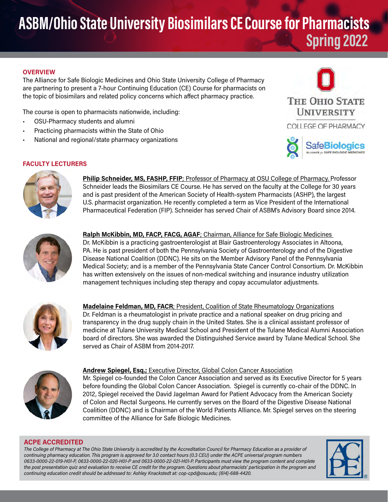# ASBM/Ohio State University Biosimilars CE Course for Pharmacists Spring 2022

#### **OVERVIEW**

The Alliance for Safe Biologic Medicines and Ohio State University College of Pharmacy are partnering to present a 7-hour Continuing Education (CE) Course for pharmacists on the topic of biosimilars and related policy concerns which affect pharmacy practice.

The course is open to pharmacists nationwide, including:

- OSU-Pharmacy students and alumni
- Practicing pharmacists within the State of Ohio
- National and regional/state pharmacy organizations



## FACULTY LECTURERS



Philip Schneider, MS, FASHP, FFIP; Professor of Pharmacy at OSU College of Pharmacy. Professor Schneider leads the Biosimilars CE Course. He has served on the faculty at the College for 30 years and is past president of the American Society of Health-system Pharmacists (ASHP), the largest U.S. pharmacist organization. He recently completed a term as Vice President of the International Pharmaceutical Federation (FIP). Schneider has served Chair of ASBM's Advisory Board since 2014.



Ralph McKibbin, MD, FACP, FACG, AGAF; Chairman, Alliance for Safe Biologic Medicines Dr. McKibbin is a practicing gastroenterologist at Blair Gastroenterology Associates in Altoona, PA. He is past president of both the Pennsylvania Society of Gastroenterology and of the Digestive Disease National Coalition (DDNC). He sits on the Member Advisory Panel of the Pennsylvania Medical Society; and is a member of the Pennsylvania State Cancer Control Consortium. Dr. McKibbin has written extensively on the issues of non-medical switching and insurance industry utilization management techniques including step therapy and copay accumulator adjustments.



Madelaine Feldman, MD, FACR; President, Coalition of State Rheumatology Organizations Dr. Feldman is a rheumatologist in private practice and a national speaker on drug pricing and transparency in the drug supply chain in the United States. She is a clinical assistant professor of medicine at Tulane University Medical School and President of the Tulane Medical Alumni Association board of directors. She was awarded the Distinguished Service award by Tulane Medical School. She served as Chair of ASBM from 2014-2017.



Andrew Spiegel, Esq.; Executive Director, Global Colon Cancer Association Mr. Spiegel co-founded the Colon Cancer Association and served as its Executive Director for 5 years

before founding the Global Colon Cancer Association. Spiegel is currently co-chair of the DDNC. In 2012, Spiegel received the David Jagelman Award for Patient Advocacy from the American Society of Colon and Rectal Surgeons. He currently serves on the Board of the Digestive Disease National Coalition (DDNC) and is Chairman of the World Patients Alliance. Mr. Spiegel serves on the steering committee of the Alliance for Safe Biologic Medicines.

### ACPE ACCREDITED

The College of Pharmacy at The Ohio State University is accredited by the Accreditation Council for Pharmacy Education as a provider of continuing pharmacy education. This program is approved for 3.0 contact hours (0.3 CEU) under the ACPE universal program numbers 0633-0000-22-019-H01-P, 0633-0000-22-020-H01-P and 0633-0000-22-021-H01-P. Participants must view the program content and complete the post presentation quiz and evaluation to receive CE credit for the program. Questions about pharmacists' participation in the program and continuing education credit should be addressed to: Ashley Knackstedt at: cop-cpd@osu.edu; (614)-688-4420.